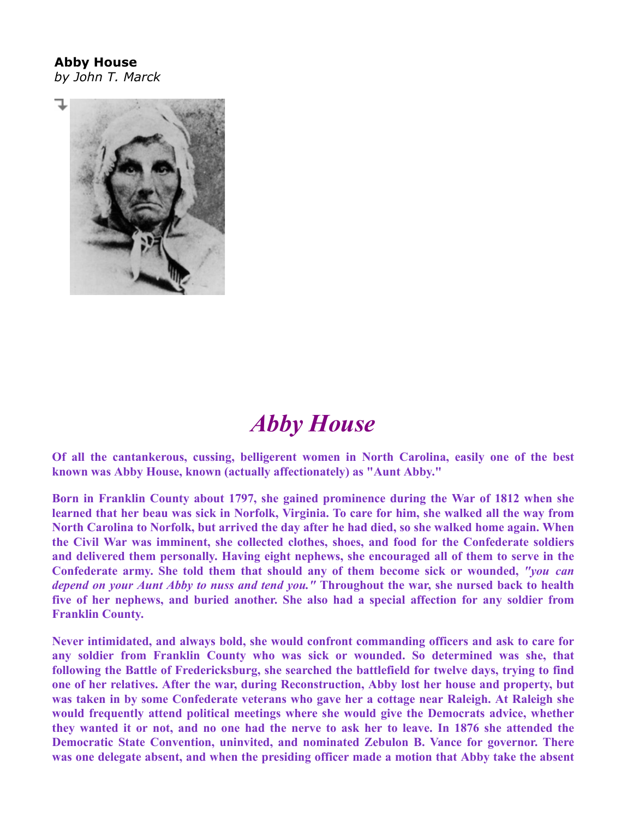## **Abby House** *by John T. Marck*



## *Abby House*

**Of all the cantankerous, cussing, belligerent women in North Carolina, easily one of the best known was Abby House, known (actually affectionately) as "Aunt Abby."**

**Born in Franklin County about 1797, she gained prominence during the War of 1812 when she learned that her beau was sick in Norfolk, Virginia. To care for him, she walked all the way from North Carolina to Norfolk, but arrived the day after he had died, so she walked home again. When the Civil War was imminent, she collected clothes, shoes, and food for the Confederate soldiers and delivered them personally. Having eight nephews, she encouraged all of them to serve in the Confederate army. She told them that should any of them become sick or wounded,** *"you can depend on your Aunt Abby to nuss and tend you."* **Throughout the war, she nursed back to health five of her nephews, and buried another. She also had a special affection for any soldier from Franklin County.**

**Never intimidated, and always bold, she would confront commanding officers and ask to care for any soldier from Franklin County who was sick or wounded. So determined was she, that following the Battle of Fredericksburg, she searched the battlefield for twelve days, trying to find one of her relatives. After the war, during Reconstruction, Abby lost her house and property, but was taken in by some Confederate veterans who gave her a cottage near Raleigh. At Raleigh she would frequently attend political meetings where she would give the Democrats advice, whether they wanted it or not, and no one had the nerve to ask her to leave. In 1876 she attended the Democratic State Convention, uninvited, and nominated Zebulon B. Vance for governor. There was one delegate absent, and when the presiding officer made a motion that Abby take the absent**